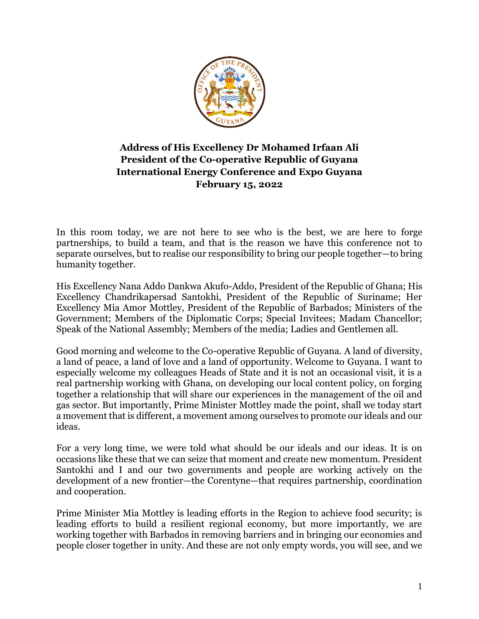

## **Address of His Excellency Dr Mohamed Irfaan Ali President of the Co-operative Republic of Guyana International Energy Conference and Expo Guyana February 15, 2022**

In this room today, we are not here to see who is the best, we are here to forge partnerships, to build a team, and that is the reason we have this conference not to separate ourselves, but to realise our responsibility to bring our people together—to bring humanity together.

His Excellency Nana Addo Dankwa Akufo-Addo, President of the Republic of Ghana; His Excellency Chandrikapersad Santokhi, President of the Republic of Suriname; Her Excellency Mia Amor Mottley, President of the Republic of Barbados; Ministers of the Government; Members of the Diplomatic Corps; Special Invitees; Madam Chancellor; Speak of the National Assembly; Members of the media; Ladies and Gentlemen all.

Good morning and welcome to the Co-operative Republic of Guyana. A land of diversity, a land of peace, a land of love and a land of opportunity. Welcome to Guyana. I want to especially welcome my colleagues Heads of State and it is not an occasional visit, it is a real partnership working with Ghana, on developing our local content policy, on forging together a relationship that will share our experiences in the management of the oil and gas sector. But importantly, Prime Minister Mottley made the point, shall we today start a movement that is different, a movement among ourselves to promote our ideals and our ideas.

For a very long time, we were told what should be our ideals and our ideas. It is on occasions like these that we can seize that moment and create new momentum. President Santokhi and I and our two governments and people are working actively on the development of a new frontier—the Corentyne—that requires partnership, coordination and cooperation.

Prime Minister Mia Mottley is leading efforts in the Region to achieve food security; is leading efforts to build a resilient regional economy, but more importantly, we are working together with Barbados in removing barriers and in bringing our economies and people closer together in unity. And these are not only empty words, you will see, and we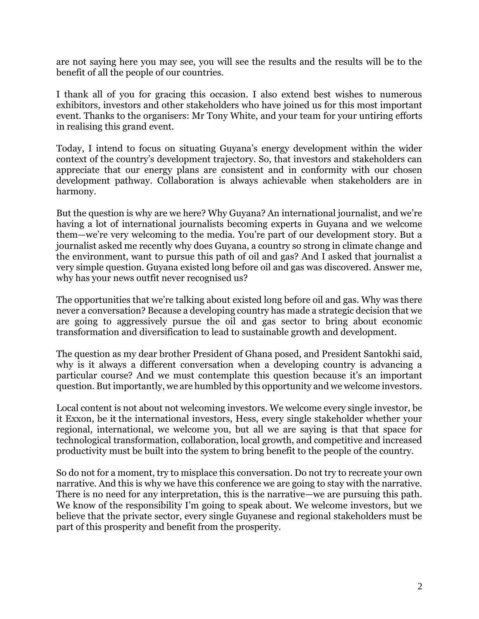are not saying here you may see, you will see the results and the results will be to the benefit of all the people of our countries.

I thank all of you for gracing this occasion. I also extend best wishes to numerous exhibitors, investors and other stakeholders who have joined us for this most important event. Thanks to the organisers: Mr Tony White, and your team for your untiring efforts in realising this grand event.

Today, I intend to focus on situating Guyana's energy development within the wider context of the country's development trajectory. So, that investors and stakeholders can appreciate that our energy plans are consistent and in conformity with our chosen development pathway. Collaboration is always achievable when stakeholders are in harmony.

But the question is why are we here? Why Guyana? An international journalist, and we're having a lot of international journalists becoming experts in Guyana and we welcome them—we're very welcoming to the media. You're part of our development story. But a journalist asked me recently why does Guyana, a country so strong in climate change and the environment, want to pursue this path of oil and gas? And I asked that journalist a very simple question. Guyana existed long before oil and gas was discovered. Answer me, why has your news outfit never recognised us?

The opportunities that we're talking about existed long before oil and gas. Why was there never a conversation? Because a developing country has made a strategic decision that we are going to aggressively pursue the oil and gas sector to bring about economic transformation and diversification to lead to sustainable growth and development.

The question as my dear brother President of Ghana posed, and President Santokhi said, why is it always a different conversation when a developing country is advancing a particular course? And we must contemplate this question because it's an important question. But importantly, we are humbled by this opportunity and we welcome investors.

Local content is not about not welcoming investors. We welcome every single investor, be it Exxon, be it the international investors, Hess, every single stakeholder whether your regional, international, we welcome you, but all we are saying is that that space for technological transformation, collaboration, local growth, and competitive and increased productivity must be built into the system to bring benefit to the people of the country.

So do not for a moment, try to misplace this conversation. Do not try to recreate your own narrative. And this is why we have this conference we are going to stay with the narrative. There is no need for any interpretation, this is the narrative—we are pursuing this path. We know of the responsibility I'm going to speak about. We welcome investors, but we believe that the private sector, every single Guyanese and regional stakeholders must be part of this prosperity and benefit from the prosperity.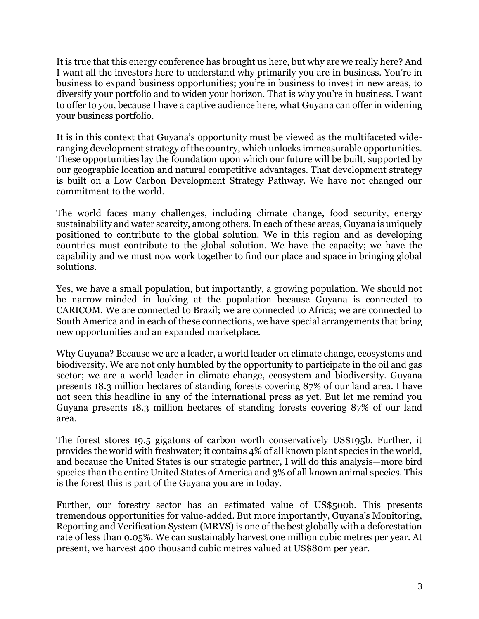It is true that this energy conference has brought us here, but why are we really here? And I want all the investors here to understand why primarily you are in business. You're in business to expand business opportunities; you're in business to invest in new areas, to diversify your portfolio and to widen your horizon. That is why you're in business. I want to offer to you, because I have a captive audience here, what Guyana can offer in widening your business portfolio.

It is in this context that Guyana's opportunity must be viewed as the multifaceted wideranging development strategy of the country, which unlocks immeasurable opportunities. These opportunities lay the foundation upon which our future will be built, supported by our geographic location and natural competitive advantages. That development strategy is built on a Low Carbon Development Strategy Pathway. We have not changed our commitment to the world.

The world faces many challenges, including climate change, food security, energy sustainability and water scarcity, among others. In each of these areas, Guyana is uniquely positioned to contribute to the global solution. We in this region and as developing countries must contribute to the global solution. We have the capacity; we have the capability and we must now work together to find our place and space in bringing global solutions.

Yes, we have a small population, but importantly, a growing population. We should not be narrow-minded in looking at the population because Guyana is connected to CARICOM. We are connected to Brazil; we are connected to Africa; we are connected to South America and in each of these connections, we have special arrangements that bring new opportunities and an expanded marketplace.

Why Guyana? Because we are a leader, a world leader on climate change, ecosystems and biodiversity. We are not only humbled by the opportunity to participate in the oil and gas sector; we are a world leader in climate change, ecosystem and biodiversity. Guyana presents 18.3 million hectares of standing forests covering 87% of our land area. I have not seen this headline in any of the international press as yet. But let me remind you Guyana presents 18.3 million hectares of standing forests covering 87% of our land area.

The forest stores 19.5 gigatons of carbon worth conservatively US\$195b. Further, it provides the world with freshwater; it contains 4% of all known plant species in the world, and because the United States is our strategic partner, I will do this analysis—more bird species than the entire United States of America and 3% of all known animal species. This is the forest this is part of the Guyana you are in today.

Further, our forestry sector has an estimated value of US\$500b. This presents tremendous opportunities for value-added. But more importantly, Guyana's Monitoring, Reporting and Verification System (MRVS) is one of the best globally with a deforestation rate of less than 0.05%. We can sustainably harvest one million cubic metres per year. At present, we harvest 400 thousand cubic metres valued at US\$80m per year.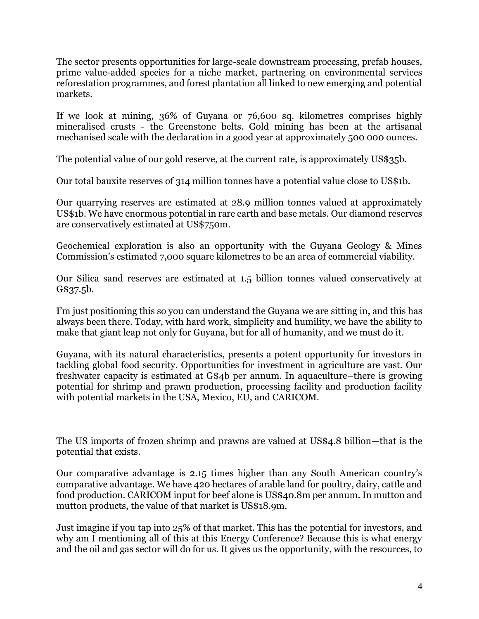The sector presents opportunities for large-scale downstream processing, prefab houses, prime value-added species for a niche market, partnering on environmental services reforestation programmes, and forest plantation all linked to new emerging and potential markets.

If we look at mining, 36% of Guyana or 76,600 sq. kilometres comprises highly mineralised crusts - the Greenstone belts. Gold mining has been at the artisanal mechanised scale with the declaration in a good year at approximately 500 000 ounces.

The potential value of our gold reserve, at the current rate, is approximately US\$35b.

Our total bauxite reserves of 314 million tonnes have a potential value close to US\$1b.

Our quarrying reserves are estimated at 28.9 million tonnes valued at approximately US\$1b. We have enormous potential in rare earth and base metals. Our diamond reserves are conservatively estimated at US\$750m.

Geochemical exploration is also an opportunity with the Guyana Geology & Mines Commission's estimated 7,000 square kilometres to be an area of commercial viability.

Our Silica sand reserves are estimated at 1.5 billion tonnes valued conservatively at G\$37.5b.

I'm just positioning this so you can understand the Guyana we are sitting in, and this has always been there. Today, with hard work, simplicity and humility, we have the ability to make that giant leap not only for Guyana, but for all of humanity, and we must do it.

Guyana, with its natural characteristics, presents a potent opportunity for investors in tackling global food security. Opportunities for investment in agriculture are vast. Our freshwater capacity is estimated at G\$4b per annum. In aquaculture–there is growing potential for shrimp and prawn production, processing facility and production facility with potential markets in the USA, Mexico, EU, and CARICOM.

The US imports of frozen shrimp and prawns are valued at US\$4.8 billion—that is the potential that exists.

Our comparative advantage is 2.15 times higher than any South American country's comparative advantage. We have 420 hectares of arable land for poultry, dairy, cattle and food production. CARICOM input for beef alone is US\$40.8m per annum. In mutton and mutton products, the value of that market is US\$18.9m.

Just imagine if you tap into 25% of that market. This has the potential for investors, and why am I mentioning all of this at this Energy Conference? Because this is what energy and the oil and gas sector will do for us. It gives us the opportunity, with the resources, to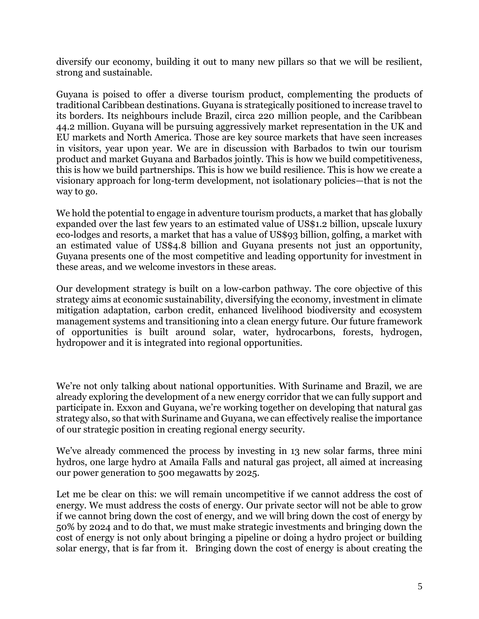diversify our economy, building it out to many new pillars so that we will be resilient, strong and sustainable.

Guyana is poised to offer a diverse tourism product, complementing the products of traditional Caribbean destinations. Guyana is strategically positioned to increase travel to its borders. Its neighbours include Brazil, circa 220 million people, and the Caribbean 44.2 million. Guyana will be pursuing aggressively market representation in the UK and EU markets and North America. Those are key source markets that have seen increases in visitors, year upon year. We are in discussion with Barbados to twin our tourism product and market Guyana and Barbados jointly. This is how we build competitiveness, this is how we build partnerships. This is how we build resilience. This is how we create a visionary approach for long-term development, not isolationary policies—that is not the way to go.

We hold the potential to engage in adventure tourism products, a market that has globally expanded over the last few years to an estimated value of US\$1.2 billion, upscale luxury eco-lodges and resorts, a market that has a value of US\$93 billion, golfing, a market with an estimated value of US\$4.8 billion and Guyana presents not just an opportunity, Guyana presents one of the most competitive and leading opportunity for investment in these areas, and we welcome investors in these areas.

Our development strategy is built on a low-carbon pathway. The core objective of this strategy aims at economic sustainability, diversifying the economy, investment in climate mitigation adaptation, carbon credit, enhanced livelihood biodiversity and ecosystem management systems and transitioning into a clean energy future. Our future framework of opportunities is built around solar, water, hydrocarbons, forests, hydrogen, hydropower and it is integrated into regional opportunities.

We're not only talking about national opportunities. With Suriname and Brazil, we are already exploring the development of a new energy corridor that we can fully support and participate in. Exxon and Guyana, we're working together on developing that natural gas strategy also, so that with Suriname and Guyana, we can effectively realise the importance of our strategic position in creating regional energy security.

We've already commenced the process by investing in 13 new solar farms, three mini hydros, one large hydro at Amaila Falls and natural gas project, all aimed at increasing our power generation to 500 megawatts by 2025.

Let me be clear on this: we will remain uncompetitive if we cannot address the cost of energy. We must address the costs of energy. Our private sector will not be able to grow if we cannot bring down the cost of energy, and we will bring down the cost of energy by 50% by 2024 and to do that, we must make strategic investments and bringing down the cost of energy is not only about bringing a pipeline or doing a hydro project or building solar energy, that is far from it. Bringing down the cost of energy is about creating the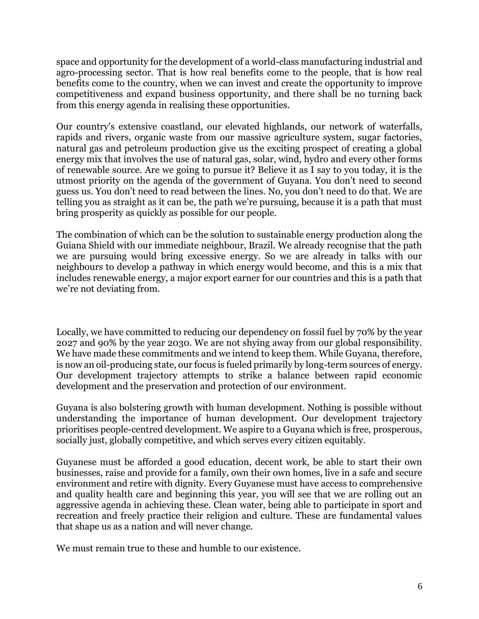space and opportunity for the development of a world-class manufacturing industrial and agro-processing sector. That is how real benefits come to the people, that is how real benefits come to the country, when we can invest and create the opportunity to improve competitiveness and expand business opportunity, and there shall be no turning back from this energy agenda in realising these opportunities.

Our country's extensive coastland, our elevated highlands, our network of waterfalls, rapids and rivers, organic waste from our massive agriculture system, sugar factories, natural gas and petroleum production give us the exciting prospect of creating a global energy mix that involves the use of natural gas, solar, wind, hydro and every other forms of renewable source. Are we going to pursue it? Believe it as I say to you today, it is the utmost priority on the agenda of the government of Guyana. You don't need to second guess us. You don't need to read between the lines. No, you don't need to do that. We are telling you as straight as it can be, the path we're pursuing, because it is a path that must bring prosperity as quickly as possible for our people.

The combination of which can be the solution to sustainable energy production along the Guiana Shield with our immediate neighbour, Brazil. We already recognise that the path we are pursuing would bring excessive energy. So we are already in talks with our neighbours to develop a pathway in which energy would become, and this is a mix that includes renewable energy, a major export earner for our countries and this is a path that we're not deviating from.

Locally, we have committed to reducing our dependency on fossil fuel by 70% by the year 2027 and 90% by the year 2030. We are not shying away from our global responsibility. We have made these commitments and we intend to keep them. While Guyana, therefore, is now an oil-producing state, our focus is fueled primarily by long-term sources of energy. Our development trajectory attempts to strike a balance between rapid economic development and the preservation and protection of our environment.

Guyana is also bolstering growth with human development. Nothing is possible without understanding the importance of human development. Our development trajectory prioritises people-centred development. We aspire to a Guyana which is free, prosperous, socially just, globally competitive, and which serves every citizen equitably.

Guyanese must be afforded a good education, decent work, be able to start their own businesses, raise and provide for a family, own their own homes, live in a safe and secure environment and retire with dignity. Every Guyanese must have access to comprehensive and quality health care and beginning this year, you will see that we are rolling out an aggressive agenda in achieving these. Clean water, being able to participate in sport and recreation and freely practice their religion and culture. These are fundamental values that shape us as a nation and will never change.

We must remain true to these and humble to our existence.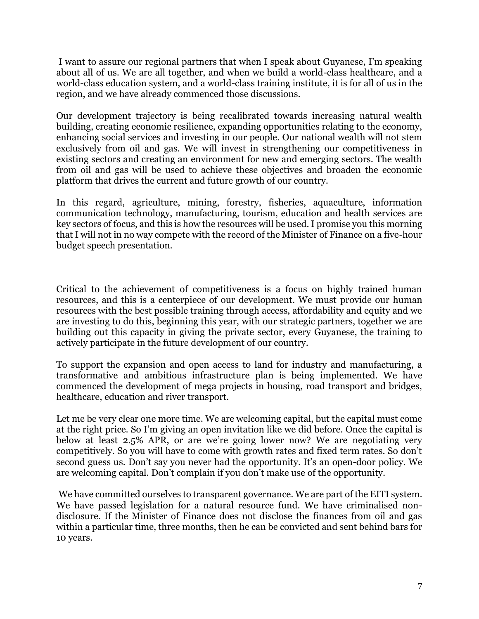I want to assure our regional partners that when I speak about Guyanese, I'm speaking about all of us. We are all together, and when we build a world-class healthcare, and a world-class education system, and a world-class training institute, it is for all of us in the region, and we have already commenced those discussions.

Our development trajectory is being recalibrated towards increasing natural wealth building, creating economic resilience, expanding opportunities relating to the economy, enhancing social services and investing in our people. Our national wealth will not stem exclusively from oil and gas. We will invest in strengthening our competitiveness in existing sectors and creating an environment for new and emerging sectors. The wealth from oil and gas will be used to achieve these objectives and broaden the economic platform that drives the current and future growth of our country.

In this regard, agriculture, mining, forestry, fisheries, aquaculture, information communication technology, manufacturing, tourism, education and health services are key sectors of focus, and this is how the resources will be used. I promise you this morning that I will not in no way compete with the record of the Minister of Finance on a five-hour budget speech presentation.

Critical to the achievement of competitiveness is a focus on highly trained human resources, and this is a centerpiece of our development. We must provide our human resources with the best possible training through access, affordability and equity and we are investing to do this, beginning this year, with our strategic partners, together we are building out this capacity in giving the private sector, every Guyanese, the training to actively participate in the future development of our country.

To support the expansion and open access to land for industry and manufacturing, a transformative and ambitious infrastructure plan is being implemented. We have commenced the development of mega projects in housing, road transport and bridges, healthcare, education and river transport.

Let me be very clear one more time. We are welcoming capital, but the capital must come at the right price. So I'm giving an open invitation like we did before. Once the capital is below at least 2.5% APR, or are we're going lower now? We are negotiating very competitively. So you will have to come with growth rates and fixed term rates. So don't second guess us. Don't say you never had the opportunity. It's an open-door policy. We are welcoming capital. Don't complain if you don't make use of the opportunity.

We have committed ourselves to transparent governance. We are part of the EITI system. We have passed legislation for a natural resource fund. We have criminalised nondisclosure. If the Minister of Finance does not disclose the finances from oil and gas within a particular time, three months, then he can be convicted and sent behind bars for 10 years.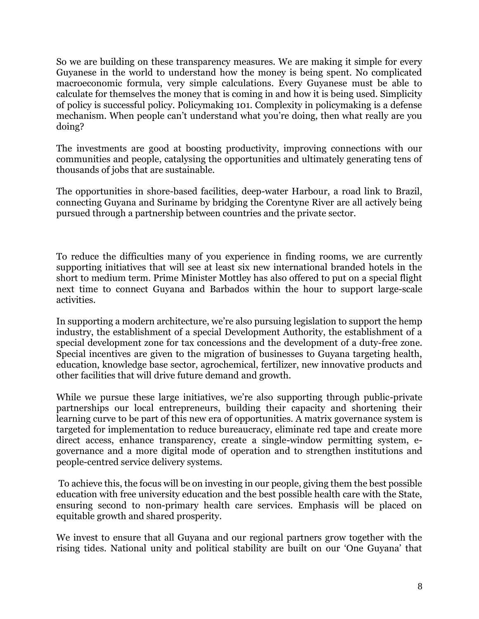So we are building on these transparency measures. We are making it simple for every Guyanese in the world to understand how the money is being spent. No complicated macroeconomic formula, very simple calculations. Every Guyanese must be able to calculate for themselves the money that is coming in and how it is being used. Simplicity of policy is successful policy. Policymaking 101. Complexity in policymaking is a defense mechanism. When people can't understand what you're doing, then what really are you doing?

The investments are good at boosting productivity, improving connections with our communities and people, catalysing the opportunities and ultimately generating tens of thousands of jobs that are sustainable.

The opportunities in shore-based facilities, deep-water Harbour, a road link to Brazil, connecting Guyana and Suriname by bridging the Corentyne River are all actively being pursued through a partnership between countries and the private sector.

To reduce the difficulties many of you experience in finding rooms, we are currently supporting initiatives that will see at least six new international branded hotels in the short to medium term. Prime Minister Mottley has also offered to put on a special flight next time to connect Guyana and Barbados within the hour to support large-scale activities.

In supporting a modern architecture, we're also pursuing legislation to support the hemp industry, the establishment of a special Development Authority, the establishment of a special development zone for tax concessions and the development of a duty-free zone. Special incentives are given to the migration of businesses to Guyana targeting health, education, knowledge base sector, agrochemical, fertilizer, new innovative products and other facilities that will drive future demand and growth.

While we pursue these large initiatives, we're also supporting through public-private partnerships our local entrepreneurs, building their capacity and shortening their learning curve to be part of this new era of opportunities. A matrix governance system is targeted for implementation to reduce bureaucracy, eliminate red tape and create more direct access, enhance transparency, create a single-window permitting system, egovernance and a more digital mode of operation and to strengthen institutions and people-centred service delivery systems.

To achieve this, the focus will be on investing in our people, giving them the best possible education with free university education and the best possible health care with the State, ensuring second to non-primary health care services. Emphasis will be placed on equitable growth and shared prosperity.

We invest to ensure that all Guyana and our regional partners grow together with the rising tides. National unity and political stability are built on our 'One Guyana' that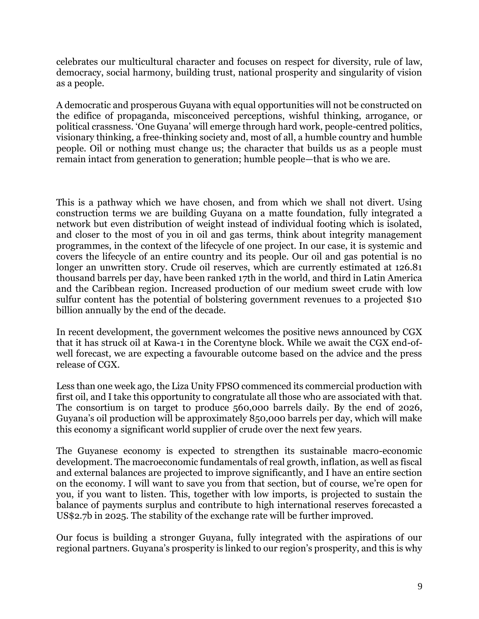celebrates our multicultural character and focuses on respect for diversity, rule of law, democracy, social harmony, building trust, national prosperity and singularity of vision as a people.

A democratic and prosperous Guyana with equal opportunities will not be constructed on the edifice of propaganda, misconceived perceptions, wishful thinking, arrogance, or political crassness. 'One Guyana' will emerge through hard work, people-centred politics, visionary thinking, a free-thinking society and, most of all, a humble country and humble people. Oil or nothing must change us; the character that builds us as a people must remain intact from generation to generation; humble people—that is who we are.

This is a pathway which we have chosen, and from which we shall not divert. Using construction terms we are building Guyana on a matte foundation, fully integrated a network but even distribution of weight instead of individual footing which is isolated, and closer to the most of you in oil and gas terms, think about integrity management programmes, in the context of the lifecycle of one project. In our case, it is systemic and covers the lifecycle of an entire country and its people. Our oil and gas potential is no longer an unwritten story. Crude oil reserves, which are currently estimated at 126.81 thousand barrels per day, have been ranked 17th in the world, and third in Latin America and the Caribbean region. Increased production of our medium sweet crude with low sulfur content has the potential of bolstering government revenues to a projected \$10 billion annually by the end of the decade.

In recent development, the government welcomes the positive news announced by CGX that it has struck oil at Kawa-1 in the Corentyne block. While we await the CGX end-ofwell forecast, we are expecting a favourable outcome based on the advice and the press release of CGX.

Less than one week ago, the Liza Unity FPSO commenced its commercial production with first oil, and I take this opportunity to congratulate all those who are associated with that. The consortium is on target to produce 560,000 barrels daily. By the end of 2026, Guyana's oil production will be approximately 850,000 barrels per day, which will make this economy a significant world supplier of crude over the next few years.

The Guyanese economy is expected to strengthen its sustainable macro-economic development. The macroeconomic fundamentals of real growth, inflation, as well as fiscal and external balances are projected to improve significantly, and I have an entire section on the economy. I will want to save you from that section, but of course, we're open for you, if you want to listen. This, together with low imports, is projected to sustain the balance of payments surplus and contribute to high international reserves forecasted a US\$2.7b in 2025. The stability of the exchange rate will be further improved.

Our focus is building a stronger Guyana, fully integrated with the aspirations of our regional partners. Guyana's prosperity is linked to our region's prosperity, and this is why